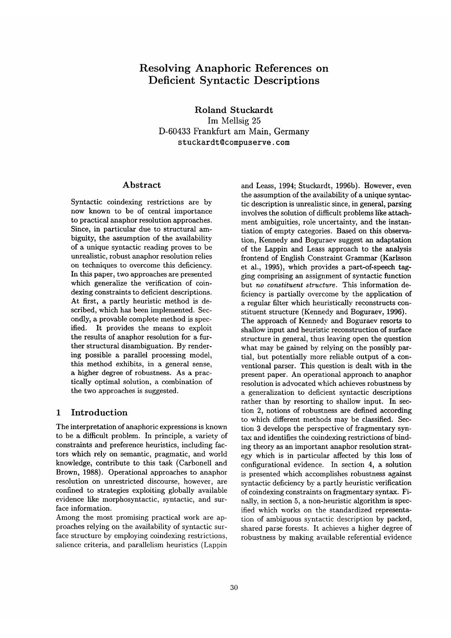# **Resolving Anaphoric References on Deficient Syntactic Descriptions**

Roland Stuckardt Im Mellsig 25 D-60433 Frankfurt am Main, Germany stuckardt@compuserve.com

#### **Abstract**

Syntactic coindexing restrictions are by now known to be of central importance to practical anaphor resolution approaches. Since, in particular due to structural ambiguity, the assumption of the availability of a unique syntactic reading proves to be unrealistic, robust anaphor resolution relies on techniques to overcome this deficiency. In this paper, two approaches are presented which generalize the verification of coindexing constraints to deficient descriptions. At first, a partly heuristic method is described, which has been implemented. Secondly, a provable complete method is specified. It provides the means to exploit the results of anaphor resolution for a further structural disambiguation. By rendering possible a parallel processing model, this method exhibits, in a general sense, a higher degree of robustness. As a practically optimal solution, a combination of the two approaches is suggested.

# **1** Introduction

The interpretation of anaphoric expressions is known to be a difficult problem. In principle, a variety of constraints and preference heuristics, including factors which rely on semantic, pragmatic, and world knowledge, contribute to this task (Carbonell and Brown, 1988). Operational approaches to anaphor resolution on unrestricted discourse, however, are confined to strategies exploiting globally available evidence like morphosyntactic, syntactic, and surface information.

Among the most promising practical work are approaches relying on the availability of syntactic surface structure by employing coindexing restrictions, salience criteria, and parallelism heuristics (Lappin

and Leass, 1994; Stuckardt, 1996b). However, even the assumption of the availability of a unique syntactic description is unrealistic since, in general, parsing involves the solution of difficult problems like attachment ambiguities, role uncertainty, and the instantiation of empty categories. Based on this observation, Kennedy and Boguraev suggest an adaptation of the Lappin and Leass approach to the analysis frontend of English Constraint Grammar (Karlsson et al., 1995), which provides a part-of-speech tagging comprising an assignment of syntactic function but *no constituent structure.* This information deficiency is partially overcome by the application of a regular filter which heuristically reconstructs constituent structure (Kennedy and Boguraev, 1996). The approach of Kennedy and Boguraev resorts to shallow input and heuristic reconstruction of surface structure in general, thus leaving open the question what may be gained by relying on the possibly partial, but potentially more reliable output of a conventional parser. This question is dealt with in the present paper. An operational approach to anaphor resolution is advocated which achieves robustness by a generalization to deficient syntactic descriptions rather than by resorting to shallow input. In section 2, notions of robustness are defined according to which different methods may be classified. Section 3 develops the perspective of fragmentary syntax and identifies the coindexing restrictions of binding theory as an important anaphor resolution strategy which is in particular affected by this loss of configurational evidence. In section 4, a solution is presented which accomplishes robustness against syntactic deficiency by a partly heuristic verification of coindexing constraints on fragmentary syntax. Finally, in section 5, a non-heuristic algorithm is specified which works on the standardized representation of ambiguous syntactic description by packed, shared parse forests. It achieves a higher degree of robustness by making available referential evidence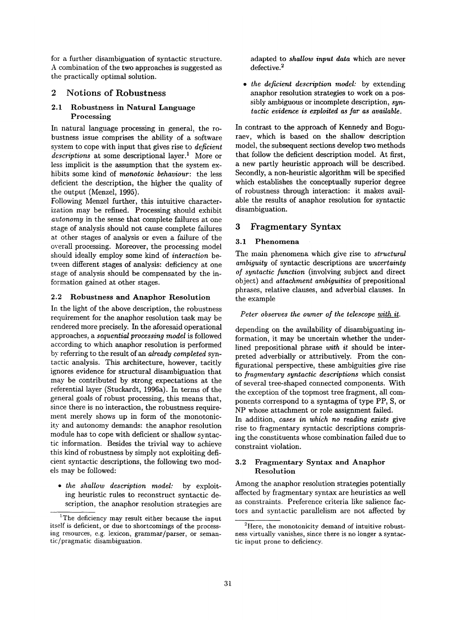for a further disambiguation of syntactic structure. A combination of the two approaches is suggested as the practically optimal solution.

#### 2 Notions of **Robustness**

### **2.1 Robustness in Natural Language**  Processing

In natural language processing in general, the robustness issue comprises the ability of a software system to cope with input that gives rise to *deficient descriptions* at some descriptional layer.<sup>1</sup> More or less implicit is the assumption that the system exhibits some kind of *monotonic behaviour:* the less deficient the description, the higher the quality of the output (Menzel, 1995).

Following Menzel further, this intuitive characterization may be refined. Processing should exhibit *autonomy* in the sense that complete failures at one stage of analysis should not cause complete failures at other stages of analysis or even a failure of the overall processing. Moreover, the processing model should ideally employ some kind of *interaction* between different stages of analysis: deficiency at one stage of analysis should be compensated by the information gained at other stages.

#### 2.2 **Robustness and** Anaphor Resolution

In the light of the above description, the robustness requirement for the anaphor resolution task may be rendered more precisely. In the aforesaid operational approaches, a *sequential processing model* is followed according to which anaphor resolution is performed by referring to the result of an *already completed* syntactic analysis. This architecture, however, tacitly ignores evidence for structural disambiguation that may be contributed by strong expectations at the referential layer (Stuckardt, 1996a). In terms of the general goals of robust processing, this means that, since there is no interaction, the robustness requirement merely shows up in form of the monotonicity and autonomy demands: the anaphor resolution module has to cope with deficient or shallow syntactic information. Besides the trivial way to achieve this kind of robustness by simply not exploiting deficient syntactic descriptions, the following two models may be followed:

*• the shallow description model:* by exploiting heuristic rules to reconstruct syntactic description, the anaphor resolution strategies are adapted to *shallow input data* which are never defective.<sup>2</sup>

*• the deficient description model:* by extending anaphor resolution strategies to work on a possibly ambiguous or incomplete description, *syntactic evidence is exploited as far as available.* 

In contrast to the approach of Kennedy and Boguraev, which is based on the shallow description model, the subsequent sections develop two methods that follow the deficient description model. At first, a new partly heuristic approach will be described. Secondly, a non-heuristic algorithm will be specified which establishes the conceptually superior degree of robustness through interaction: it makes available the results of anaphor resolution for syntactic disambiguation.

# 3 Fragmentary Syntax

#### 3.1 Phenomena

The main phenomena which give rise to *structural ambiguity* of syntactic descriptions are *uncertainty of syntactic function* (involving subject and direct object) and *attachment ambiguities* of prepositional phrases, relative clauses, and adverbial clauses. In the example

# *Peter observes the owner of the telescope with it.*

depending on the availability of disambiguating information, it may be uncertain whether the underlined prepositional phrase *with it* should be interpreted adverbially or attributively. From the configurational perspective, these ambiguities give rise to *fragmentary syntactic descriptions* which consist of several tree-shaped connected components. With the exception of the topmost tree fragment, all components correspond to a syntagma of type PP, S, or NP whose attachment or role assignment failed.

In addition, *cases in which no reading exists* give rise to fragmentary syntactic descriptions comprising the constituents whose combination failed due to constraint violation.

# 3.2 Fragmentary Syntax **and Anaphor**  Resolution

Among the anaphor resolution strategies potentially affected by fragmentary syntax are heuristics as well as constraints. Preference criteria like salience factors and syntactic parallelism are not affected by

<sup>&</sup>lt;sup>1</sup>The deficiency may result either because the input itself is deficient, or due to shortcomings of the processing resources, e.g. lexicon, grammar/parser, or semantic/pragmatic disambiguation.

 $2$ Here, the monotonicity demand of intuitive robustness virtually vanishes, since there is no longer a syntactic input prone to deficiency.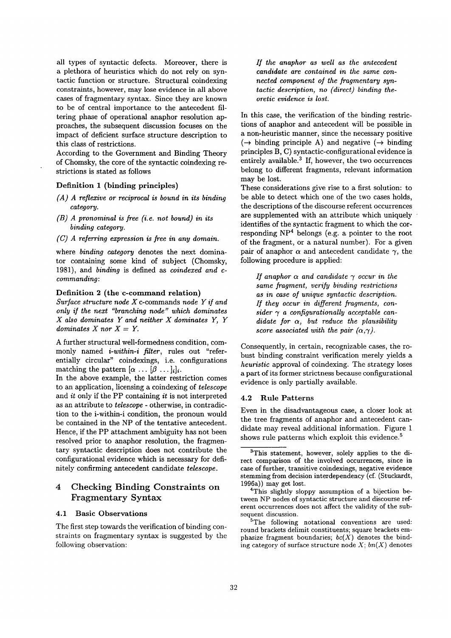all types of syntactic defects. Moreover, there is a plethora of heuristics which do not rely on syntactic function or structure. Structural coindexing constraints, however, may lose evidence in all above cases of fragmentary syntax. Since they are known to be of central importance to the antecedent filtering phase of operational anaphor resolution approaches, the subsequent discussion focuses on the impact of deficient surface structure description to this class of restrictions.

According to the Government and Binding Theory of Chomsky, the core of the syntactic coindexing restrictions is stated as follows

#### Definition 1 (binding principles)

- *(A ) A reflexive or reciprocal is bound in its binding category.*
- *(B) A pronominal is free (i.e. not bound) in its binding category.*
- *(C) A referring expression is free in any domain.*

where *binding category* denotes the next dominator containing some kind of subject (Chomsky, 1981), and *binding* is defined as *coindexed and ccommanding:* 

# Definition 2 (the c-command relation)

*Surface structure node X* c-commands *node Y if and only if the next "branching node" which dominates X also dominates Y and neither X dominates Y, Y*   $dominates X nor X = Y.$ 

A further structural well-formedness condition, commonly named *i-within-i filter,* rules out "referentially circular" coindexings, i.e. configurations matching the pattern  $[\alpha \dots [\beta \dots]_i]_i$ .

In the above example, the latter restriction comes to an application, licensing a coindexing of *telescope*  and *it* only if the PP containing *it* is not interpreted as an attribute to *telescope -* otherwise, in contradiction to the i-within-i condition, the pronoun would be contained in the NP of the tentative antecedent. Hence, if the PP attachment ambiguity has not been resolved prior to anaphor resolution, the fragmentary syntactic description does not contribute the configurational evidence which is necessary for definitely confirming antecedent candidate *telescope.* 

# 4 Checking Binding Constraints on Fragmentary Syntax

## 4.1 Basic Observations

The first step towards the verification of binding constraints on fragmentary syntax is suggested by the following observation:

*If the anaphor as well as the antecedent candidate are contained in the same connected component of the fragmentary syntactic description, no (direct) binding theoretic evidence is lost.* 

In this case, the verification of the binding restrictions of anaphor and antecedent will be possible in a non-heuristic manner, since the necessary positive  $(\rightarrow$  binding principle A) and negative ( $\rightarrow$  binding principles B, C) syntactic-configurational evidence is entirely available. $3$  If, however, the two occurrences belong to different fragments, relevant information may be lost.

These considerations give rise to a first solution: to be able to detect which one of the two cases holds, the descriptions of the discourse referent occurrences are supplemented with an attribute which uniquely identifies of the syntactic fragment to which the corresponding  $NP<sup>4</sup>$  belongs (e.g. a pointer to the root of the fragment, or a natural number). For a given pair of anaphor  $\alpha$  and antecedent candidate  $\gamma$ , the following procedure is applied:

*If anaphor*  $\alpha$  *and candidate*  $\gamma$  *occur in the same fragment, verify binding restrictions as in case of unique syntactic description. If they occur in different fragments, con* $sider \, \gamma \, a \, \, configurationally \, \, acceptable \, \, can$ *didate for a, but reduce the plausibility score associated with the pair*  $(\alpha, \gamma)$ *.* 

Consequently, in certain, recognizable cases, the robust binding constraint verification merely yields a *heuristic* approval of coindexing. The strategy loses a part of its former strictness because configurational evidence is only partially available.

#### **4.2 Rule Patterns**

Even in the disadvantageous case, a closer look at the tree fragments of anaphor and antecedent candidate may reveal additional information. Figure 1 shows rule patterns which exploit this evidence.<sup>5</sup>

<sup>3</sup>This statement, however, solely applies to the direct comparison of the involved occurrences, since in case of further, transitive coindexings, negative evidence stemming from decision interdependency (cf. (Stuckardt, 1996a)) may get lost.

<sup>&</sup>lt;sup>4</sup>This slightly sloppy assumption of a bijection between NP nodes of syntactic structure and discourse referent occurrences does not affect the validity of the subsequent discussion.

<sup>5</sup>The following notational conventions are used: round brackets delimit constituents; square brackets emphasize fragment boundaries;  $bc(X)$  denotes the binding category of surface structure node X; *bn(X)* denotes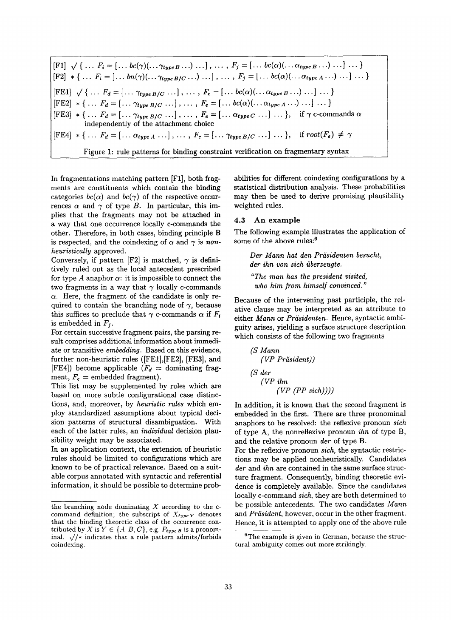$[F1] \sqrt{\{ \dots F_i = [\dots bc(\gamma)(\dots \gamma_{typeB} \dots) \dots], \dots, F_j = [\dots bc(\alpha)(\dots \alpha_{typeB} \dots) \dots], \dots \}}$  $[F2] * \{ \dots F_i = [\dots bn(\gamma)(\dots \gamma_{type\ B/C} \dots) \dots], \dots, F_j = [\dots bc(\alpha)(\dots \alpha_{type\ A} \dots) \dots] \dots \}$  $[FE1] \sqrt{\{... F_d = [... \gamma_{type} B/C ... ]}, ..., F_e = [... bc(\alpha)(... \alpha_{type} B ...) ... ] ...}$  $[FE2] * \{ \ldots F_d = [\ldots \gamma_{type\ B/C} \ldots], \ldots, F_e = [\ldots bc(\alpha)(\ldots \alpha_{type\ A} \ldots) \ldots] \ldots \}$  $[FE3] * \{ \dots F_d = [\dots \gamma_{type\,B/C} \dots], \dots, F_e = [\dots \alpha_{type\,C} \dots] \dots \}, \text{ if } \gamma \text{ c-commands } \alpha$ independently of the attachment choice  $[FE4] * \{ \dots F_d = [\dots \alpha_{typeA} \dots], \dots, F_e = [\dots \gamma_{typeB/C} \dots], \dots \}, \text{ if } root(F_e) \neq \gamma$ Figure 1: rule patterns for binding constraint verification on fragmentary syntax

In fragmentations matching pattern  $[Fl]$ , both fragments are constituents which contain the binding categories  $bc(\alpha)$  and  $bc(\gamma)$  of the respective occurrences  $\alpha$  and  $\gamma$  of type B. In particular, this implies that the fragments may not be attached in a way that one occurrence locally c-commands the other. Therefore, in both cases, binding principle B is respected, and the coindexing of  $\alpha$  and  $\gamma$  is *nonheuristically* approved.

Conversely, if pattern [F2] is matched,  $\gamma$  is definitively ruled out as the local antecedent prescribed for type A anaphor  $\alpha$ : it is impossible to connect the two fragments in a way that  $\gamma$  locally c-commands  $\alpha$ . Here, the fragment of the candidate is only required to contain the branching node of  $\gamma$ , because this suffices to preclude that  $\gamma$  c-commands  $\alpha$  if  $F_i$ is embedded in  $F_i$ .

For certain successive fragment pairs, the parsing result comprises additional information about immediate or transitive *embedding.* Based on this evidence, further non-heuristic rules ([FEi],[FE2], [FE3], and [FE4]) become applicable  $(F_d =$  dominating fragment,  $F_e$  = embedded fragment).

This list may be supplemented by rules which are based on more subtle configurational case distinctions, and, moreover, by *heuristic rules* which employ standardized assumptions about typical decision patterns of structural disambiguation. With each of the latter rules, an *individual* decision plausibility weight may be associated.

In an application context, the extension of heuristic rules should be limited to configurations which are known to be of practical relevance. Based on a suitable corpus annotated with syntactic and referential information, it should be possible to determine probabilities for different coindexing configurations by a statistical distribution analysis. These probabilities may then be used to derive promising plausibility weighted rules.

#### 4.3 An example

The following example illustrates the application of some of the above rules:<sup>6</sup>

 $Der$  Mann hat den Präsidenten besucht, *der ihn yon sich iiberzeugte.* 

*"The man has the president visited, who him from himself convinced."* 

Because of the intervening past participle, the relative clause may be interpreted as an attribute to either *Mann* or *Prdsidenten.* Hence, syntactic ambiguity arises, yielding a surface structure description which consists of the following two fragments

$$
(S \text{ Mann} \textit{ (VP Präsident)})
$$
\n
$$
(S \text{ der} \textit{ (VP ihn} \textit{ (VP (PP sich))}))
$$

In addition, it is known that the second fragment is embedded in the first. There are three pronominal anaphors to be resolved: the reflexive pronoun *sich*  of type A, the nonreflexive pronoun *ihn* of type B, and the relative pronoun *der* of type B.

For the reflexive pronoun *sieh,* the syntactic restrictions may be applied nonheuristically. Candidates *der* and *ihn* are contained in the same surface structure fragment. Consequently, binding theoretic evidence is completely available. Since the candidates locally c-command *sich,* they are both determined to be possible antecedents. The two candidates *Mann*  and *Präsident*, however, occur in the other fragment. Hence, it is attempted to apply one of the above rule

the branching node dominating  $X$  according to the ccommand definition; the subscript of  $X_{typeY}$  denotes that the binding theoretic class of the occurrence contributed by X is  $Y \in \{A, B, C\}$ , e.g.  $P_{type\ B}$  is a pronominal.  $\sqrt{\prime}$  indicates that a rule pattern admits/forbids coindexing.

 ${}^{6}$ The example is given in German, because the structural ambiguity comes out more strikingly.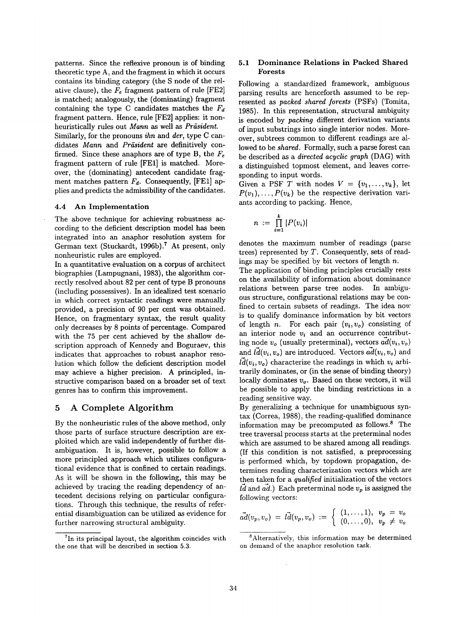patterns. Since the reflexive pronoun is of binding theoretic type A, and the fragment in which it occurs contains its binding category (the S node of the relative clause), the  $F_e$  fragment pattern of rule [FE2] is matched; analogously, the (dominating) fragment containing the type C candidates matches the  $F_d$ fragment pattern. Hence, rule [FE2] applies: it nonheuristically rules out *Mann* as well as *Präsident*.

Similarly, for the pronouns *ihn* and *der,* type C candidates *Mann* and *Präsident* are definitively confirmed. Since these anaphors are of type B, the  $F_e$ fragment pattern of rule [FEll is matched. Moreover, the (dominating) antecedent candidate fragment matches pattern  $F_d$ . Consequently, [FE1] applies and predicts the admissibility of the candidates.

# 4.4 An **Implementation**

The above technique for achieving robustness according to the deficient description model has been integrated into an anaphor resolution system for German text (Stuckardt, 1996b).<sup>7</sup> At present, only nonheuristic rules are employed.

In a quantitative evaluation on a corpus of architect biographies (Lampugnani, 1983), the algorithm correctly resolved about 82 per cent of type B pronouns (including possessives). In an idealized test scenario in which correct syntactic readings were manually provided, a precision of 90 per cent was obtained. Hence, on fragmentary syntax, the result quality only decreases by 8 points of percentage. Compared with the 75 per cent achieved by the shallow description approach of Kennedy and Boguraev, this indicates that approaches to robust anaphor resolution which follow the deficient description model may achieve a higher precision. A principled, instructive comparison based on a broader set of text genres has to confirm this improvement.

# **5 A Complete Algorithm**

By the nonheuristic rules of the above method, only those parts of surface structure description are exploited which are valid independently of further disambiguation. It is, however, possible to follow a more principled approach which utilizes configurational evidence that is confined to certain readings. As it will be shown in the following, this may be achieved by tracing the reading dependency of antecedent decisions relying on particular configurations. Through this technique, the results of referential disambiguation can be utilized as evidence for further narrowing structural ambiguity.

#### 5.1 **Dominance Relations in** Packed Shared **Forests**

Following a standardized framework, ambiguous parsing results are henceforth assumed to be represented as *packed shared forests* (PSFs) (Tomita, 1985). In this representation, structural ambiguity is encoded by *packing* different derivation variants of input substrings into single interior nodes. Moreover, subtrees common to different readings are allowed to be *shared*. Formally, such a parse forest can be described as a *directed acyclic graph* (DAG) with a distinguished topmost element, and leaves corresponding to input words.

Given a PSF T with nodes  $V = \{v_1, \ldots, v_k\}$ , let  $P(v_1),\ldots,P(v_k)$  be the respective derivation variants according to packing. Hence,

$$
n := \prod_{i=1}^k |P(v_i)|
$$

denotes the maximum number of readings (parse trees) represented by  $T$ . Consequently, sets of readings may be specified by bit vectors of length  $n$ .

The application of binding principles crucially rests on the availability of information about dominance relations between parse tree nodes. In ambiguous structure, configurational relations may be confined to certain subsets of readings. The idea now is to qualify dominance information by bit vectors of length *n*. For each pair  $(v_i, v_o)$  consisting of an interior node  $v_i$  and an occurrence contributing node  $v_o$  (usually preterminal), vectors  $ad(v_i, v_o)$ and  $\vec{ld}(v_i, v_o)$  are introduced. Vectors  $\vec{ad}(v_i, v_o)$  and  $\overline{ld}(v_i,v_o)$  characterize the readings in which  $v_i$  arbitrarily dominates, or (in the sense of binding theory) locally dominates *Vo.* Based on these vectors, it will be possible to apply the binding restrictions in a reading sensitive way.

By generalizing a technique for unambiguous syntax (Correa, 1988), the reading-qualified dominance information may be precomputed as follows. $8$  The tree traversal process starts at the preterminal nodes which are assumed to be shared among all readings. (If this condition is not satisfied, a preprocessing is performed which, by topdown propagation, determines reading characterization vectors which are then taken for a *qualified* initialization of the vectors  $\overrightarrow{Id}$  and  $ad.$ ) Each preterminal node  $v_p$  is assigned the following vectors:

$$
\vec{ad}(v_p, v_o) = \vec{ld}(v_p, v_o) := \begin{cases} (1, \ldots, 1), & v_p = v_o \\ (0, \ldots, 0), & v_p \neq v_o \end{cases}
$$

 ${}^{7}$ In its principal layout, the algorithm coincides with the one that will be described in section 5.3.

<sup>&</sup>lt;sup>8</sup> Alternatively, this information may be determined on demand of the anaphor resolution task.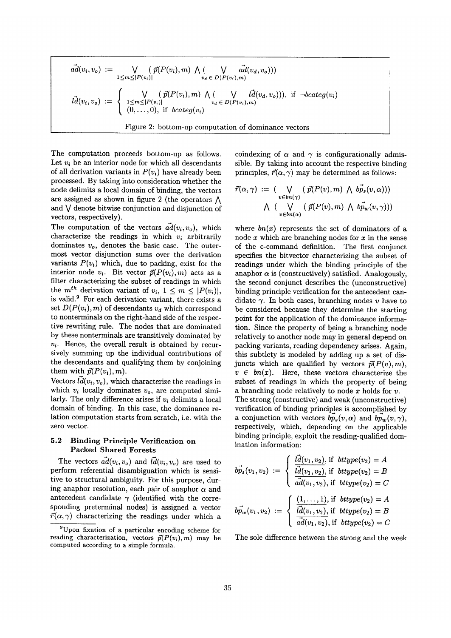$$
\vec{ad}(v_i, v_o) := \bigvee_{1 \le m \le |P(v_i)|} (\vec{p}(P(v_i), m) \wedge (\bigvee_{v_d \in D(P(v_i), m)} \vec{ad}(v_d, v_o)))
$$
\n
$$
\vec{ld}(v_i, v_o) := \begin{cases}\n\bigvee_{1 \le m \le |P(v_i)|} (\vec{p}(P(v_i), m) \wedge (\bigvee_{v_d \in D(P(v_i), m)} \vec{ld}(v_d, v_o))), \text{ if } \neg bcateg(v_i)) \\
(0, \ldots, 0), \text{ if } bcateg(v_i)\n\end{cases}
$$
\nFigure 2: bottom-up computation of dominance vectors

The computation proceeds bottom-up as follows. Let  $v_i$  be an interior node for which all descendants of all derivation variants in  $P(v_i)$  have already been processed. By taking into consideration whether the node delimits a local domain of binding, the vectors are assigned as shown in figure 2 (the operators  $\Lambda$ and  $\vee$  denote bitwise conjunction and disjunction of vectors, respectively).

The computation of the vectors  $\vec{ad}(v_i, v_o)$ , which characterize the readings in which  $v_i$  arbitrarily dominates *vo,* denotes the basic case. The outermost vector disjunction sums over the derivation variants  $P(v_i)$  which, due to packing, exist for the interior node  $v_i$ . Bit vector  $\vec{p}(P(v_i), m)$  acts as a filter characterizing the subset of readings in which the  $m^{th}$  derivation variant of  $v_i$ ,  $1 \leq m \leq |P(v_i)|$ , is valid? For each derivation variant, there exists a set  $D(P(v_i), m)$  of descendants  $v_d$  which correspond to nonterminals on the right-hand side of the respective rewriting rule. The nodes that are dominated by these nonterminals are transitively dominated by  $v_i$ . Hence, the overall result is obtained by recursively summing up the individual contributions of the descendants and qualifying them by conjoining them with  $\vec{p}(P(v_i), m)$ .

Vectors  $\vec{ld}(v_i, v_o)$ , which characterize the readings in which  $v_i$  locally dominates  $v_o$ , are computed similarly. The only difference arises if *vi* delimits a local domain of binding. In this case, the dominance relation computation starts from scratch, i.e. with the zero vector.

# **5.2 Binding Principle Verification on**  Packed Shared Forests

The vectors  $\vec{ad}(v_i, v_o)$  and  $\vec{ld}(v_i, v_o)$  are used to perform referential disambiguation which is sensitive to structural ambiguity. For this purpose, during anaphor resolution, each pair of anaphor  $\alpha$  and antecedent candidate  $\gamma$  (identified with the corresponding preterminal nodes) is assigned a vector  $\vec{r}(\alpha,\gamma)$  characterizing the readings under which a coindexing of  $\alpha$  and  $\gamma$  is configurationally admissible. By taking into account the respective binding principles,  $\vec{r}(\alpha, \gamma)$  may be determined as follows:

$$
\vec{r}(\alpha,\gamma) := (\bigvee_{v \in bn(\gamma)} (\vec{p}(P(v),m) \wedge b\vec{p}_s(v,\alpha)))
$$
  
 
$$
\wedge (\bigvee_{v \in bn(\alpha)} (\vec{p}(P(v),m) \wedge b\vec{p}_w(v,\gamma)))
$$

where  $bn(x)$  represents the set of dominators of a node x which are branching nodes for  $x$  in the sense of the c-command definition. The first conjunct specifies the bitvector characterizing the subset of readings under which the binding principle of the anaphor  $\alpha$  is (constructively) satisfied. Analogously, the second conjunct describes the (unconstructive) binding principle verification for the antecedent candidate  $\gamma$ . In both cases, branching nodes v have to be considered because they determine the starting point for the application of the dominance information. Since the property of being a branching node relatively to another node may in general depend on packing variants, reading dependency arises. Again, this subtlety is modeled by adding up a set of disjuncts which are qualified by vectors  $\vec{p}(P(v),m)$ ,  $v \in bn(x)$ . Here, these vectors characterize the subset of readings in which the property of being a branching node relatively to node  $x$  holds for  $v$ . The strong (constructive) and weak (unconstructive) verification of binding principles is accomplished by a conjunction with vectors  $b\vec{p}_s(v, \alpha)$  and  $b\vec{p}_w(v, \gamma)$ , respectively, which, depending on the applicable binding principle, exploit the reading-qualified domination information:

$$
b\vec{p}_s(v_1, v_2) := \begin{cases} \n\frac{\vec{l}d(v_1, v_2)}{\vec{l}d(v_1, v_2)}, & \text{if } \text{bttype}(v_2) = A \\ \n\frac{\vec{l}d(v_1, v_2)}{\vec{a}d(v_1, v_2)}, & \text{if } \text{bttype}(v_2) = C \n\end{cases}
$$
\n
$$
b\vec{p}_w(v_1, v_2) := \begin{cases} \n\frac{(1, \ldots, 1)}{\vec{a}d(v_1, v_2)}, & \text{if } \text{bttype}(v_2) = A \\ \n\frac{\vec{a}d(v_1, v_2)}{\vec{a}d(v_1, v_2)}, & \text{if } \text{bttype}(v_2) = C \n\end{cases}
$$

The sole difference between the strong and the week

<sup>9</sup>Upon fixation of a particular encoding scheme for reading characterization, vectors  $\vec{p}(P(v_i),m)$  may be computed according to a simple formula.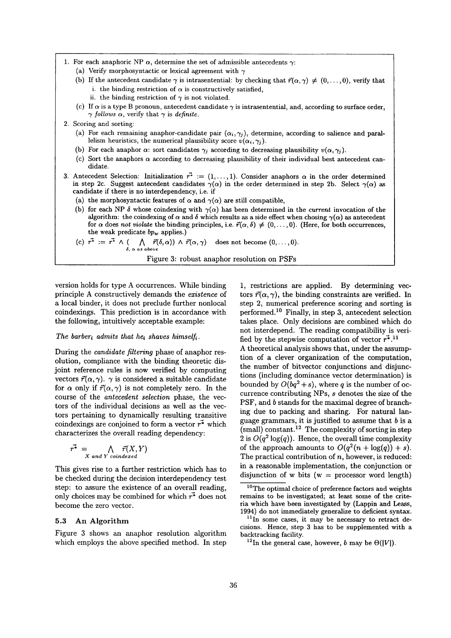- 1. For each anaphoric NP  $\alpha$ , determine the set of admissible antecedents  $\gamma$ :
	- (a) Verify morphosyntactic or lexical agreement with  $\gamma$
	- (b) If the antecedent candidate  $\gamma$  is intrasentential: by checking that  $\vec{r}(\alpha, \gamma) \neq (0, \ldots, 0)$ , verify that i. the binding restriction of  $\alpha$  is constructively satisfied,
		- ii. the binding restriction of  $\gamma$  is not violated.
	- (c) If  $\alpha$  is a type B pronoun, antecedent candidate  $\gamma$  is intrasentential, and, according to surface order,  $\gamma$  follows  $\alpha$ , verify that  $\gamma$  is *definite*.
- 2. Scoring and sorting:
	- (a) For each remaining anaphor-candidate pair  $(\alpha_i, \gamma_j)$ , determine, according to salience and parallelism heuristics, the numerical plausibility score  $v(\alpha_i, \gamma_j)$ .
	- (b) For each anaphor  $\alpha$ : sort candidates  $\gamma_j$  according to decreasing plausibility  $v(\alpha, \gamma_j)$ .
	- (c) Sort the anaphors  $\alpha$  according to decreasing plausibility of their individual best antecedent candidate.
- Antecedent Selection: Initialization  $r^* := (1, \ldots, 1)$ . Consider anaphors  $\alpha$  in the order determined in step 2c. Suggest antecedent candidates  $\gamma(\alpha)$  in the order determined in step 2b. Select  $\gamma(\alpha)$  as candidate if there is no interdependency, i.e. if **3.** 
	- (a) the morphosyntactic features of  $\alpha$  and  $\gamma(\alpha)$  are still compatible,
	- (b) for each NP  $\delta$  whose coindexing with  $\gamma(\alpha)$  has been determined in the *current* invocation of the algorithm: the coindexing of  $\alpha$  and  $\delta$  which results as a side effect when chosing  $\gamma(\alpha)$  as antecedent for  $\alpha$  does *not violate* the binding principles, i.e.  $\vec{r}(\alpha, \delta) \neq (0, \ldots, 0)$ . (Here, for both occurrences, the weak predicate  $bp_w$  applies.)
	- (c)  $r^* := r^* \wedge (\bigwedge_{\delta, \alpha \text{ as above}} \vec{r}(\delta, \alpha)) \wedge \vec{r}(\alpha, \gamma) \text{ does not become } (0, \ldots, 0).$

Figure 3: robust anaphor resolution on PSFs

version holds for type A occurrences. While binding principle A constructively demands the *existence* of a local binder, it does not preclude further nonlocal coindexings. This prediction is in accordance with the following, intuitively acceptable example:

#### *The barber<sub>i</sub> admits that he<sub>i</sub> shaves himself<sub>i</sub>.*

During the *candidate filtering* phase of anaphor resolution, compliance with the binding theoretic disjoint reference rules is now verified by computing vectors  $\vec{r}(\alpha, \gamma)$ .  $\gamma$  is considered a suitable candidate for  $\alpha$  only if  $\vec{r}(\alpha, \gamma)$  is not completely zero. In the course of the *antecedent selection* phase, the vectors of the individual decisions as well as the vectors pertaining to dynamically resulting transitive coindexings are conjoined to form a vector  $\vec{r}^*$  which characterizes the overall reading dependency:

$$
\vec{r^*} = \bigwedge_{X \text{ and } Y \text{ coincated}} \vec{r}(X, Y)
$$

This gives rise to a further restriction which has to be checked during the decision interdependency test step: to assure the existence of an overall reading, only choices may be combined for which  $r^*$  does not become the zero vector.

# **5.3 An** Algorithm

Figure 3 shows an anaphor resolution algorithm which employs the above specified method. In step

1, restrictions are applied. By determining vectors  $\vec{r}(\alpha, \gamma)$ , the binding constraints are verified. In step 2, numerical preference scoring and sorting is performed.<sup>10</sup> Finally, in step 3, antecedent selection takes place. Only decisions are combined which do not interdepend. The reading compatibility is verified by the stepwise computation of vector  $\vec{r}$ .<sup>11</sup>

A theoretical analysis shows that, under the assumption of a clever organization of the computation, the number of bitvector conjunctions and disjunctions (including dominance vector determination) is bounded by  $O(bq^2 + s)$ , where q is the number of occurrence contributing NPs, s denotes the size of the PSF, and b stands for the maximal degree of branching due to packing and sharing. For natural language grammars, it is justified to assume that  $b$  is a  $(\text{small})$  constant.<sup>12</sup> The complexity of sorting in step 2 is  $O(q^2 \log(q))$ . Hence, the overall time complexity of the approach amounts to  $O(q^2(n + \log(q)) + s)$ . The practical contribution of  $n$ , however, is reduced: in a reasonable implementation, the conjunction or disjunction of w bits ( $w =$  processor word length)

<sup>&</sup>lt;sup>10</sup>The optimal choice of preference factors and weights remains to be investigated; at least some of the criteria which have been investigated by (Lappin and Leass, 1994) do not immediately generalize to deficient syntax.

 $11$ In some cases, it may be necessary to retract decisions. Hence, step 3 has to be supplemented with a backtracking facility.

<sup>&</sup>lt;sup>12</sup>In the general case, however, *b* may be  $\Theta(|V|)$ .